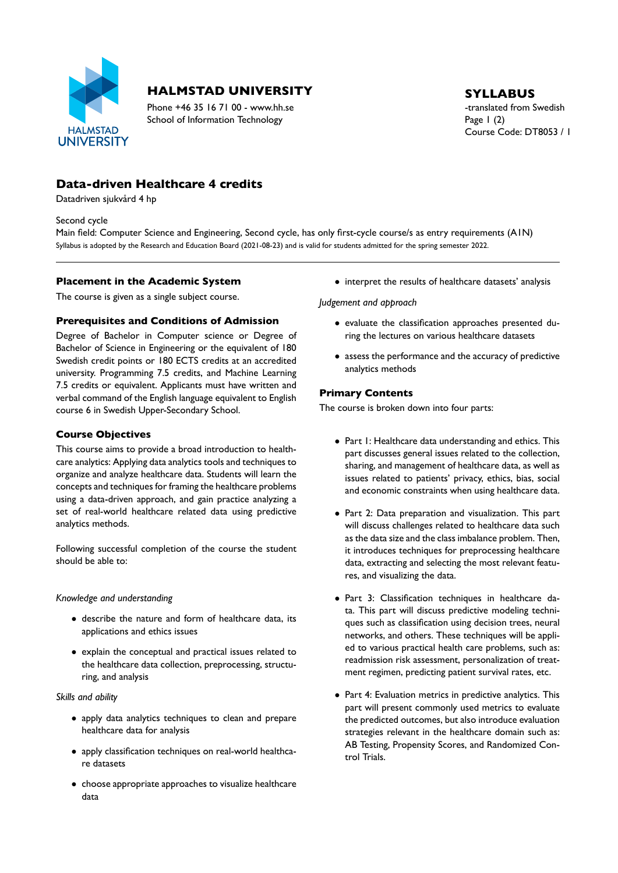

# **HALMSTAD UNIVERSITY** SYLLABUS

Phone +46 35 16 71 00 - www.hh.se the translated from Swedish School of Information Technology Page 1 (2)

Course Code: DT8053 / 1

# **Data-driven Healthcare 4 credits**

Datadriven sjukvård 4 hp

Second cycle

Main field: Computer Science and Engineering, Second cycle, has only first-cycle course/s as entry requirements (A1N) Syllabus is adopted by the Research and Education Board (2021-08-23) and is valid for students admitted for the spring semester 2022.

## **Placement in the Academic System**

The course is given as a single subject course.

# **Prerequisites and Conditions of Admission**

Degree of Bachelor in Computer science or Degree of Bachelor of Science in Engineering or the equivalent of 180 Swedish credit points or 180 ECTS credits at an accredited university. Programming 7.5 credits, and Machine Learning 7.5 credits or equivalent. Applicants must have written and verbal command of the English language equivalent to English course 6 in Swedish Upper-Secondary School.

## **Course Objectives**

This course aims to provide a broad introduction to health care analytics: Applying data analytics tools and techniques to organize and analyze healthcare data. Students will learn the concepts and techniques for framing the healthcare problems using a data-driven approach, and gain practice analyzing a set of real-world healthcare related data using predictive analytics methods.

Following successful completion of the course the student should be able to:

## *Knowledge and understanding*

- describe the nature and form of healthcare data, its applications and ethics issues
- explain the conceptual and practical issues related to the healthcare data collection, preprocessing, structu ring, and analysis

## *Skills and ability*

- apply data analytics techniques to clean and prepare healthcare data for analysis
- apply classification techniques on real-world healthcare datasets
- choose appropriate approaches to visualize healthcare data

• interpret the results of healthcare datasets' analysis

*Judgement and approach*

- evaluate the classification approaches presented during the lectures on various healthcare datasets
- assess the performance and the accuracy of predictive analytics methods

## **Primary Contents**

The course is broken down into four parts:

- Part 1: Healthcare data understanding and ethics. This part discusses general issues related to the collection, sharing, and management of healthcare data, as well as issues related to patients' privacy, ethics, bias, social and economic constraints when using healthcare data.
- Part 2: Data preparation and visualization. This part will discuss challenges related to healthcare data such as the data size and the class imbalance problem. Then, it introduces techniques for preprocessing healthcare data, extracting and selecting the most relevant featu res, and visualizing the data.
- · Part 3: Classification techniques in healthcare data. This part will discuss predictive modeling techni ques such as classification using decision trees, neural networks, and others. These techniques will be appli ed to various practical health care problems, such as: readmission risk assessment, personalization of treat ment regimen, predicting patient survival rates, etc.
- Part 4: Evaluation metrics in predictive analytics. This part will present commonly used metrics to evaluate the predicted outcomes, but also introduce evaluation strategies relevant in the healthcare domain such as: AB Testing, Propensity Scores, and Randomized Con trol Trials.